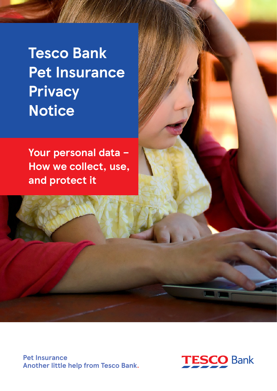**Tesco Bank Pet Insurance Privacy Notice**

**Your personal data – How we collect, use, and protect it**

**Pet Insurance Another little help from Tesco Bank.**

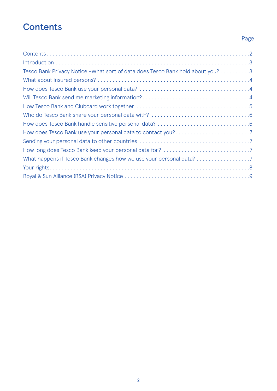# **Contents**

## Page

| Tesco Bank Privacy Notice - What sort of data does Tesco Bank hold about you? 3 |  |
|---------------------------------------------------------------------------------|--|
|                                                                                 |  |
|                                                                                 |  |
|                                                                                 |  |
|                                                                                 |  |
|                                                                                 |  |
|                                                                                 |  |
|                                                                                 |  |
|                                                                                 |  |
|                                                                                 |  |
| What happens if Tesco Bank changes how we use your personal data? 7             |  |
|                                                                                 |  |
|                                                                                 |  |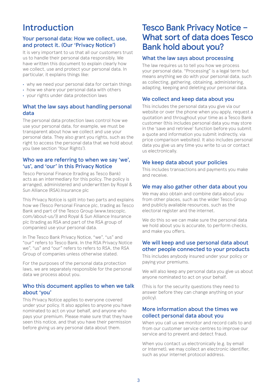## <span id="page-2-0"></span>Introduction

#### Your personal data: How we collect, use, and protect it. (Our 'Privacy Notice')

It is very important to us that all our customers trust us to handle their personal data responsibly. We have written this document to explain clearly how we collect, use and protect your personal data. In particular, it explains things like:

- **•** why we need your personal data for certain things
- **•** how we share your personal data with others
- **•** your rights under data protection laws

### What the law says about handling personal data

The personal data protection laws control how we use your personal data, for example, we must be transparent about how we collect and use your personal data. They also grant you rights, such as the right to access the personal data that we hold about you (see section 'Your Rights').

#### Who we are referring to when we say 'we', 'us', and 'our' in this Privacy Notice

Tesco Personal Finance (trading as Tesco Bank) acts as an intermediary for this policy. The policy is arranged, administered and underwritten by Royal & Sun Alliance (RSA).Insurance plc

This Privacy Notice is split into two parts and explains how we (Tesco Personal Finance plc, trading as Tesco Bank and part of the Tesco Group (www.tescoplc. com/about-us/)) and Royal & Sun Alliance Insurance plc (trading as RSA and part of the RSA group of companies) use your personal data.

In The Tesco Bank Privacy Notice, "we", "us" and "our" refers to Tesco Bank. In the RSA Privacy Notice we", "us" and "our" refers to refers to RSA, the RSA Group of companies unless otherwise stated.

For the purposes of the personal data protection laws, we are separately responsible for the personal data we process about you.

### Who this document applies to when we talk about 'you'

This Privacy Notice applies to everyone covered under your policy. It also applies to anyone you have nominated to act on your behalf, and anyone who pays your premium. Please make sure that they have seen this notice, and that you have their permission before giving us any personal data about them.

## Tesco Bank Privacy Notice – What sort of data does Tesco Bank hold about you?

### What the law says about processing

The law requires us to tell you how we process your personal data. "Processing" is a legal term but means anything we do with your personal data, such as collecting, gathering, obtaining, administering, adapting, keeping and deleting your personal data.

## We collect and keep data about you

This includes the personal data you give via our website or over the phone when you apply, request a quotation and throughout your time as a Tesco Bank customer (this includes personal data you may store in the 'save and retrieve' function before you submit a quote and information you submit indirectly, via price comparison websites). It also includes personal data you give us any time you write to us or contact us electronically.

### We keep data about your policies

This includes transactions and payments you make and receive.

## We may also gather other data about you

We may also obtain and combine data about you from other places, such as the wider Tesco Group and publicly available resources, such as the electoral register and the internet.

We do this so we can make sure the personal data we hold about you is accurate, to perform checks, and make you offers.

### We will keep and use personal data about other people connected to your products

This includes anybody insured under your policy or paying your premiums.

We will also keep any personal data you give us about anyone nominated to act on your behalf.

(This is for the security questions they need to answer before they can change anything on your policy).

### More information about the times we collect personal data about you

When you call us we monitor and record calls to and from our customer service centres to improve our service and to prevent and detect fraud.

When you contact us electronically (e.g. by email or Internet), we may collect an electronic identifier, such as your internet protocol address.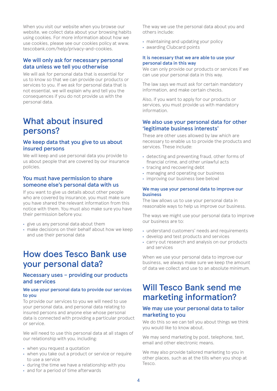<span id="page-3-0"></span>When you visit our website when you browse our website, we collect data about your browsing habits using cookies. For more information about how we use cookies, please see our cookies policy at www. tescobank.com/help/privacy-and-cookies.

#### We will only ask for necessary personal data unless we tell you otherwise

We will ask for personal data that is essential for us to know so that we can provide our products or services to you. If we ask for personal data that is not essential, we will explain why and tell you the consequences if you do not provide us with the personal data.

## What about insured persons?

### We keep data that you give to us about insured persons

We will keep and use personal data you provide to us about people that are covered by our insurance policies.

#### You must have permission to share someone else's personal data with us

If you want to give us details about other people who are covered by insurance, you must make sure you have shared the relevant information from this notice with them. You must also make sure you have their permission before you:

- **•** give us any personal data about them
- **•** make decisions on their behalf about how we keep and use their personal data

# How does Tesco Bank use your personal data?

#### Necessary uses – providing our products and services

#### We use your personal data to provide our services to you

To provide our services to you we will need to use your personal data, and personal data relating to insured persons and anyone else whose personal data is connected with providing a particular product or service.

We will need to use this personal data at all stages of our relationship with you, including:

- **•** when you request a quotation
- **•** when you take out a product or service or require to use a service
- **•** during the time we have a relationship with you
- **•** and for a period of time afterwards

The way we use the personal data about you and others include:

- **•** maintaining and updating your policy
- **•** awarding Clubcard points

#### It is necessary that we are able to use your personal data in this way

We can only provide our products or services if we can use your personal data in this way.

The law says we must ask for certain mandatory information, and make certain checks.

Also, if you want to apply for our products or services, you must provide us with mandatory information.

#### We also use your personal data for other 'legitimate business interests'

These are other uses allowed by law which are necessary to enable us to provide the products and services. These include:

- **•** detecting and preventing fraud, other forms of financial crime, and other unlawful acts
- **•** tracing and recovering debt
- **•** managing and operating our business
- **•** improving our business (see below)

#### We may use your personal data to improve our business

The law allows us to use your personal data in reasonable ways to help us improve our business.

The ways we might use your personal data to improve our business are to:

- **•** understand customers' needs and requirements
- **•** develop and test products and services
- **•** carry out research and analysis on our products and services

When we use your personal data to improve our business, we always make sure we keep the amount of data we collect and use to an absolute minimum.

# Will Tesco Bank send me marketing information?

#### We may use your personal data to tailor marketing to you

We do this so we can tell you about things we think you would like to know about.

We may send marketing by post, telephone, text, email and other electronic means.

We may also provide tailored marketing to you in other places, such as at the tills when you shop at Tesco.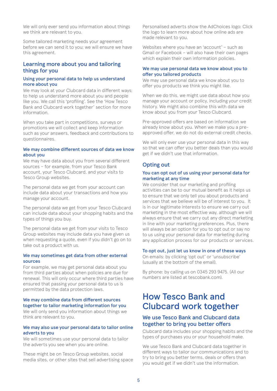<span id="page-4-0"></span>We will only ever send you information about things we think are relevant to you.

Some tailored marketing needs your agreement before we can send it to you; we will ensure we have this agreement.

#### Learning more about you and tailoring things for you

#### Using your personal data to help us understand more about you

We may look at your Clubcard data in different ways; to help us understand more about you and people like you. We call this 'profiling'. See the 'How Tesco Bank and Clubcard work together' section for more information.

When you take part in competitions, surveys or promotions we will collect and keep information such as your answers, feedback and contributions to questionnaires.

#### We may combine different sources of data we know about you

We may have data about you from several different sources – for example, from your Tesco Bank account, your Tesco Clubcard, and your visits to Tesco Group websites.

The personal data we get from your account can include data about your transactions and how you manage your account.

The personal data we get from your Tesco Clubcard can include data about your shopping habits and the types of things you buy.

The personal data we get from your visits to Tesco Group websites may include data you have given us when requesting a quote, even if you didn't go on to take out a product with us.

#### We may sometimes get data from other external sources

For example, we may get personal data about you from third parties about when policies are due for renewal. This will only occur where third parties have ensured that passing your personal data to us is permitted by the data protection laws.

#### We may combine data from different sources together to tailor marketing information for you

We will only send you information about things we think are relevant to you.

#### We may also use your personal data to tailor online adverts to you

We will sometimes use your personal data to tailor the adverts you see when you are online.

These might be on Tesco Group websites, social media sites, or other sites that sell advertising space

Personalised adverts show the AdChoices logo: Click the logo to learn more about how online ads are made relevant to you.

Websites where you have an 'account' – such as Gmail or Facebook – will also have their own pages which explain their own information policies.

#### We may use personal data we know about you to offer you tailored products

We may use personal data we know about you to offer you products we think you might like.

When we do this, we might use data about how you manage your account or policy, including your credit history. We might also combine this with data we know about you from your Tesco Clubcard.

Pre-approved offers are based on information we already know about you. When we make you a preapproved offer, we do not do external credit checks.

We will only ever use your personal data in this way so that we can offer you better deals than you would get if we didn't use that information.

### Opting out

#### You can opt out of us using your personal data for marketing at any time

We consider that our marketing and profiling activities can be to our mutual benefit as it helps us to ensure that we only tell you about products and services that we believe will be of interest to you. It is in our legitimate interests to ensure we carry out marketing in the most effective way, although we will always ensure that we carry out any direct marketing in line with your marketing preferences. Plus, there will always be an option for you to opt out or say no to us using your personal data for marketing during any application process for our products or services.

#### To opt out, just let us know in one of these ways

On emails: by clicking 'opt out' or 'unsubscribe' (usually at the bottom of the email).

By phone: by calling us on 0345 293 9475. (All our numbers are listed at tescobank.com).

## How Tesco Bank and Clubcard work together

#### We use Tesco Bank and Clubcard data together to bring you better offers

Clubcard data includes your shopping habits and the types of purchases you or your household make.

We use Tesco Bank and Clubcard data together in different ways to tailor our communications and to try to bring you better terms, deals or offers than you would get if we didn't use the information.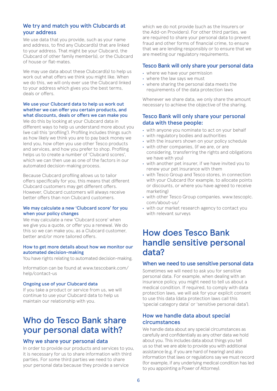#### <span id="page-5-0"></span>We try and match you with Clubcards at your address

We use data that you provide, such as your name and address, to find any Clubcard(s) that are linked to your address. That might be your Clubcard, the Clubcard of other family member(s), or the Clubcard of house or flat-mates.

We may use data about these Clubcard(s) to help us work out what offers we think you might like. When we do this, we will only ever use the Clubcard linked to your address which gives you the best terms, deals or offers.

#### We use your Clubcard data to help us work out whether we can offer you certain products, and what discounts, deals or offers we can make you

We do this by looking at your Clubcard data in different ways to help us understand more about you (we call this 'profiling'). Profiling includes things such as how likely we think you are to pay back money we lend you, how often you use other Tesco products and services, and how you prefer to shop. Profiling helps us to create a number of 'Clubcard scores', which we can then use as one of the factors in our automated decision-making process.

Because Clubcard profiling allows us to tailor offers specifically for you, this means that different Clubcard customers may get different offers. However, Clubcard customers will always receive better offers than non Clubcard customers.

#### We may calculate a new 'Clubcard score' for you when your policy changes

We may calculate a new 'Clubcard score' when we give you a quote, or offer you a renewal. We do this so we can make you, as a Clubcard customer, better and/or more tailored offers.

#### How to get more details about how we monitor our automated decision-making

You have rights relating to automated decision-making.

Information can be found at www.tescobank.com/ help/contact-us

#### Ongoing use of your Clubcard data

If you take a product or service from us, we will continue to use your Clubcard data to help us maintain our relationship with you.

# Who do Tesco Bank share your personal data with?

#### Why we share your personal data

In order to provide our products and services to you, it is necessary for us to share information with third parties. For some third parties we need to share your personal data because they provide a service

which we do not provide (such as the Insurers or the Add-on Providers). For other third parties, we are required to share your personal data to prevent fraud and other forms of financial crime, to ensure that we are lending responsibly or to ensure that we are meeting our regulatory requirements.

#### Tesco Bank will only share your personal data

- **•** where we have your permission
- **•** where the law says we must
- **•** where sharing the personal data meets the requirements of the data protection laws

Whenever we share data, we only share the amount necessary to achieve the objective of the sharing.

#### Tesco Bank will only share your personal data with these people:

- **•** with anyone you nominate to act on your behalf
- **•** with regulatory bodies and authorities
- **•** with the insurers shown on your policy schedule
- **•** with other companies, (if we are, or are considering, transferring the rights and obligations we have with you)
- **•** with another pet insurer, if we have invited you to renew your pet insurance with them
- **•** with Tesco Group and Tesco stores, in connection with your Clubcard (for example, to allocate points or discounts, or where you have agreed to receive marketing)
- **•** with other Tesco Group companies. www.tescoplc. com/about-us/
- **•** with our market research agency to contact you with relevant surveys

## How does Tesco Bank handle sensitive personal data?

#### When we need to use sensitive personal data

Sometimes we will need to ask you for sensitive personal data. For example, when dealing with an insurance policy, you might need to tell us about a medical condition. If required, to comply with data protection laws, we will ask for your explicit consent to use this data (data protection laws call this 'special category data' or 'sensitive personal data').

#### How we handle data about special circumstances

We handle data about any special circumstances as carefully and confidentially as any other data we hold about you. This includes data about things you tell us so that we are able to provide you with additional assistance (e.g. if you are hard of hearing) and also information that laws or regulations say we must record (for example, if any underlying medical condition has led to you appointing a Power of Attorney).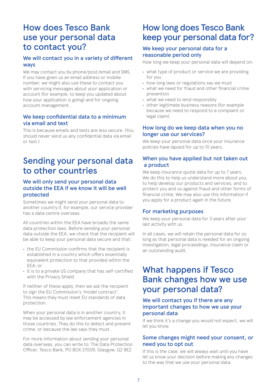## <span id="page-6-0"></span>How does Tesco Bank use your personal data to contact you?

### We will contact you in a variety of different ways

We may contact you by phone/post/email and SMS. If you have given us an email address or mobile number, we might also use these to contact you with servicing messages about your application or account (for example, to keep you updated about how your application is going) and for ongoing account management.

### We keep confidential data to a minimum via email and text

This is because emails and texts are less secure. (You should never send us any confidential data via email or text.)

# Sending your personal data to other countries

#### We will only send your personal data outside the EEA if we know it will be well protected

Sometimes we might send your personal data to another country if, for example, our service provider has a data centre overseas.

All countries within the EEA have broadly the same data protection laws. Before sending your personal data outside the EEA, we check that the recipient will be able to keep your personal data secure and that:

- **•** the EU Commission confirms that the recipient is established in a country which offers essentially equivalent protection to that provided within the EEA; or
- **•** it is to a private US company that has self-certified with the Privacy Shield

If neither of these apply, then we ask the recipient to sign the EU Commission's 'model contract'. This means they must meet EU standards of data protection.

When your personal data is in another country, it may be accessed by law enforcement agencies in those countries. They do this to detect and prevent crime, or because the law says they must.

For more information about sending your personal data overseas, you can write to: The Data Protection Officer, Tesco Bank, PO BOX 27009, Glasgow, G2 9EZ

## How long does Tesco Bank keep your personal data for?

#### We keep your personal data for a reasonable period only

How long we keep your personal data will depend on:

- **•** what type of product or service we are providing for you
- **•** how long laws or regulations say we must
- **•** what we need for fraud and other financial crime prevention
- **•** what we need to lend responsibly
- **•** other legitimate business reasons (for example because we need to respond to a complaint or legal claim)

### How long do we keep data when you no longer use our services?

We keep your personal data once your insurance policies have lapsed for up to 10 years.

### When you have applied but not taken out a product

We keep insurance quote data for up to 7 years. We do this to help us understand more about you, to help develop our products and services, and to protect you and us against fraud and other forms of financial crime. We may also use this information if you apply for a product again in the future.

### For marketing purposes

We keep your personal data for 3 years after your last activity with us.

In all cases, we will retain the personal data for so long as that personal data is needed for an ongoing investigation, legal proceedings, insurance claim or an outstanding audit.

## What happens if Tesco Bank changes how we use your personal data?

### We will contact you if there are any important changes to how we use your personal data

If we think it's a change you would not expect, we will let you know.

### Some changes might need your consent, or need you to opt out

If this is the case, we will always wait until you have let us know your decision before making any changes to the way that we use your personal data.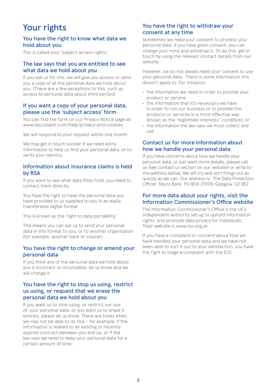# <span id="page-7-0"></span>Your rights

#### You have the right to know what data we hold about you

This is called your 'subject access rights'.

#### The law says that you are entitled to see what data we hold about you

If you ask us for this, we will give you access or send you a copy of all the personal data we hold about you. (There are a few exceptions to this, such as access to personal data about third parties).

#### If you want a copy of your personal data, please use the 'subject access' form

You can find the form on our Privacy Notice page at: www.tescobank.com/help/privacy-and-cookies

We will respond to your request within one month.

We may get in touch sooner if we need extra information to help us find your personal data, or to verify your identity.

#### Information about insurance claims is held by RSA

If you want to see what data RSAs hold, you need to contact them directly.

You have the right to have the personal data you have provided to us supplied to you in an easily transferable digital format.

This is known as the 'right to data portability'.

This means you can ask us to send your personal data in this format to you, or to another organisation (for example, another bank or insurer).

#### You have the right to change or amend your personal data

If you think any of the personal data we hold about you is incorrect or incomplete, let us know and we will change it.

#### You have the right to stop us using, restrict us using, or request that we erase the personal data we hold about you

If you want us to stop using, or restrict our use of, your personal data, or you want us to erase it entirely, please let us know. There are times when we may not be able to do this – for example, if the information is related to an existing or recently expired contract between you and us, or if the law says we need to keep your personal data for a certain amount of time.

### You have the right to withdraw your consent at any time

Sometimes we need your consent to process your personal data. If you have given consent, you can change your mind and withdraw it. To do this, get in touch by using the relevant contact details from our website.

However, we do not always need your consent to use your personal data. There is some information this doesn't apply to. For instance;

- **•** the information we need in order to provide your product or service
- **•** the information that it's necessary we have in order to run our business or to provide the products or services in a more effective way (known as the "legitimate interests" condition), or
- **•** the information the law says we must collect and  $\overline{U}$

### Contact us for more information about how we handle your personal data

If you have concerns about how we handle your personal data, or just want more details, please call us (see contact us section on our website) or write to the address below. We will try and sort things out as quickly as we can. Our address is: The Data Protection Officer, Tesco Bank, PO BOX 27009, Glasgow, G2 9EZ

#### For more data about your rights, visit the Information Commissioner's Office website

The Information Commissioner's Office is the UK's independent authority set up to uphold information rights, and promote data privacy for individuals. Their website is www.ico.org.uk.

If you have a complaint or concern about how we have handled your personal data and we have not been able to sort it out to your satisfaction, you have the right to lodge a complaint with the ICO.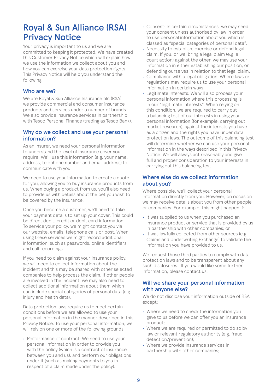# <span id="page-8-0"></span>Royal & Sun Alliance (RSA) Privacy Notice

Your privacy is important to us and we are committed to keeping it protected. We have created this Customer Privacy Notice which will explain how we use the information we collect about you and how you can exercise your data protection rights. This Privacy Notice will help you understand the following:

#### Who are we?

We are Royal & Sun Alliance Insurance plc (RSA), we provide commercial and consumer insurance products and services under a number of brands. We also provide insurance services in partnership with Tesco Personal Finance (trading as Tesco Bank).

#### Why do we collect and use your personal information?

As an insurer, we need your personal information to understand the level of insurance cover you require. We'll use this information (e.g. your name, address, telephone number and email address) to communicate with you.

We need to use your information to create a quote for you, allowing you to buy insurance products from us. When buying a product from us, you'll also need to provide us with details about the pet you wish to be covered by the insurance.

Once you become a customer, we'll need to take your payment details to set up your cover. This could be direct debit, credit or debit card information. To service your policy, we might contact you via our website, emails, telephone calls or post. When using these services we might record additional information, such as passwords, online identifiers and call recordings.

If you need to claim against your insurance policy, we will need to collect information about the incident and this may be shared with other selected companies to help process the claim. If other people are involved in the incident, we may also need to collect additional information about them which can include special categories of personal data (e.g. injury and health data).

Data protection laws require us to meet certain conditions before we are allowed to use your personal information in the manner described in this Privacy Notice. To use your personal information, we will rely on one or more of the following grounds:

**•** Performance of contract: We need to use your personal information in order to provide you with the policy (which is a contract of insurance between you and us), and perform our obligations under it (such as making payments to you in respect of a claim made under the policy).

- **•** Consent: In certain circumstances, we may need your consent unless authorised by law in order to use personal information about you which is classed as "special categories of personal data".
- **•** Necessity to establish, exercise or defend legal claim: If you, or we, bring a legal claim (e.g. a court action) against the other, we may use your information in either establishing our position, or defending ourselves in relation to that legal claim.
- **•** Compliance with a legal obligation: Where laws or regulations may require us to use your personal information in certain ways.
- **•** Legitimate Interests: We will also process your personal information where this processing is in our "legitimate interests". When relying on this condition, we are required to carry out a balancing test of our interests in using your personal information (for example, carrying out market research), against the interests you have as a citizen and the rights you have under data protection laws. The outcome of this balancing test will determine whether we can use your personal information in the ways described in this Privacy Notice. We will always act reasonably and give full and proper consideration to your interests in carrying out this balancing test.

#### Where else do we collect information about you?

Where possible, we'll collect your personal information directly from you. However, on occasion we may receive details about you from other people or companies. For example, this might happen if:

- **•** It was supplied to us when you purchased an insurance product or service that is provided by us in partnership with other companies; or
- **•** It was lawfully collected from other sources (e.g. Claims and Underwriting Exchange) to validate the information you have provided to us.

We request those third parties to comply with data protection laws and to be transparent about any such disclosures. If you would like some further information, please contact us.

#### Will we share your personal information with anyone else?

We do not disclose your information outside of RSA except:

- **•** Where we need to check the information you gave to us before we can offer you an insurance product;
- **•** Where we are required or permitted to do so by law or relevant regulatory authority (e.g. fraud detection/prevention);
- **•** Where we provide insurance services in partnership with other companies;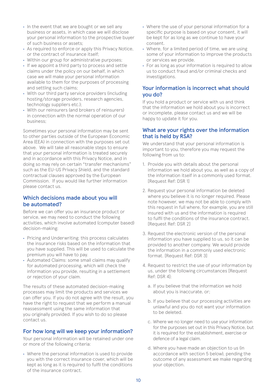- **•** In the event that we are bought or we sell any business or assets, in which case we will disclose your personal information to the prospective buyer of such business or assets;
- **•** As required to enforce or apply this Privacy Notice, or the contract of insurance itself;
- **•** Within our group for administrative purposes;
- **•** If we appoint a third party to process and settle claims under the policy on our behalf, in which case we will make your personal information available to them for the purposes of processing and settling such claims;
- **•** With our third party service providers (including hosting/storage providers, research agencies, technology suppliers etc.);
- **•** With our reinsurers (and brokers of reinsurers) in connection with the normal operation of our business;

Sometimes your personal information may be sent to other parties outside of the European Economic Area (EEA) in connection with the purposes set out above. We will take all reasonable steps to ensure that your personal information is treated securely and in accordance with this Privacy Notice, and in doing so may rely on certain "transfer mechanisms" such as the EU-US Privacy Shield, and the standard contractual clauses approved by the European Commission. If you would like further information please contact us.

#### Which decisions made about you will be automated?

Before we can offer you an insurance product or service, we may need to conduct the following activities, which involve automated (computer based) decision-making:

- **•** Pricing and Underwriting: this process calculates the insurance risks based on the information that you have supplied. This will be used to calculate the premium you will have to pay.
- **•** Automated Claims: some small claims may qualify for automated processing, which will check the information you provide, resulting in a settlement or rejection of your claim.

The results of these automated decision-making processes may limit the products and services we can offer you. If you do not agree with the result, you have the right to request that we perform a manual reassessment using the same information that you originally provided. If you wish to do so please contact us.

#### For how long will we keep your information?

Your personal information will be retained under one or more of the following criteria:

**•** Where the personal information is used to provide you with the correct insurance cover, which will be kept as long as it is required to fulfil the conditions of the insurance contract.

- **•** Where the use of your personal information for a specific purpose is based on your consent, it will be kept for as long as we continue to have your consent.
- **•** Where, for a limited period of time, we are using some of your information to improve the products or services we provide.
- **•** For as long as your information is required to allow us to conduct fraud and/or criminal checks and investigations.

#### Your information is incorrect what should you do?

If you hold a product or service with us and think that the information we hold about you is incorrect or incomplete, please contact us and we will be happy to update it for you.

#### What are your rights over the information that is held by RSA?

We understand that your personal information is important to you, therefore you may request the following from us to:

- 1. Provide you with details about the personal information we hold about you, as well as a copy of the information itself in a commonly used format. [Request Ref: DSR 1]
- 2. Request your personal information be deleted where you believe it is no longer required. Please note however, we may not be able to comply with this request in full where, for example, you are still insured with us and the information is required to fulfil the conditions of the insurance contract. [Request Ref: DSR 2]
- 3. Request the electronic version of the personal information you have supplied to us, so it can be provided to another company. We would provide the information in a commonly used electronic format. [Request Ref: DSR 3]
- 4. Request to restrict the use of your information by us, under the following circumstances [Request Ref: DSR 4]:
	- a. If you believe that the information we hold about you is inaccurate, or;
	- b. If you believe that our processing activities are unlawful and you do not want your information to be deleted.
	- c. Where we no longer need to use your information for the purposes set out in this Privacy Notice, but it is required for the establishment, exercise or defence of a legal claim.
	- d. Where you have made an objection to us (in accordance with section 5 below), pending the outcome of any assessment we make regarding your objection.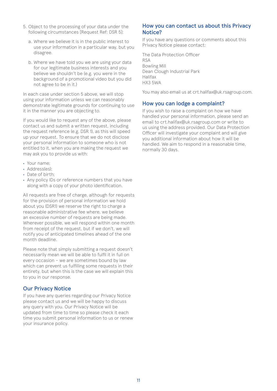- 5. Object to the processing of your data under the following circumstances [Request Ref: DSR 5]:
	- a. Where we believe it is in the public interest to use your information in a particular way, but you disagree.
	- b. Where we have told you we are using your data for our legitimate business interests and you believe we shouldn't be (e.g. you were in the background of a promotional video but you did not agree to be in it.)

In each case under section 5 above, we will stop using your information unless we can reasonably demonstrate legitimate grounds for continuing to use it in the manner you are objecting to.

If you would like to request any of the above, please contact us and submit a written request, including the request reference (e.g. DSR 1), as this will speed up your request. To ensure that we do not disclose your personal information to someone who is not entitled to it, when you are making the request we may ask you to provide us with:

- **•** Your name;
- **•** Address(es);
- **•** Date of birth;
- **•** Any policy IDs or reference numbers that you have along with a copy of your photo identification.

All requests are free of charge, although for requests for the provision of personal information we hold about you (DSR1) we reserve the right to charge a reasonable administrative fee where, we believe an excessive number of requests are being made. Wherever possible, we will respond within one month from receipt of the request, but if we don't, we will notify you of anticipated timelines ahead of the one month deadline.

Please note that simply submitting a request doesn't necessarily mean we will be able to fulfil it in full on every occasion – we are sometimes bound by law which can prevent us fulfilling some requests in their entirety, but when this is the case we will explain this to you in our response.

#### Our Privacy Notice

If you have any queries regarding our Privacy Notice please contact us and we will be happy to discuss any query with you. Our Privacy Notice will be updated from time to time so please check it each time you submit personal information to us or renew your insurance policy.

#### How you can contact us about this Privacy Notice?

If you have any questions or comments about this Privacy Notice please contact:

The Data Protection Officer RSA Bowling Mill Dean Clough Industrial Park Halifax HX3 5WA

You may also email us at crt.halifax@uk.rsagroup.com.

#### How you can lodge a complaint?

If you wish to raise a complaint on how we have handled your personal information, please send an email to crt.halifax@uk.rsagroup.com or write to us using the address provided. Our Data Protection Officer will investigate your complaint and will give you additional information about how it will be handled. We aim to respond in a reasonable time, normally 30 days.